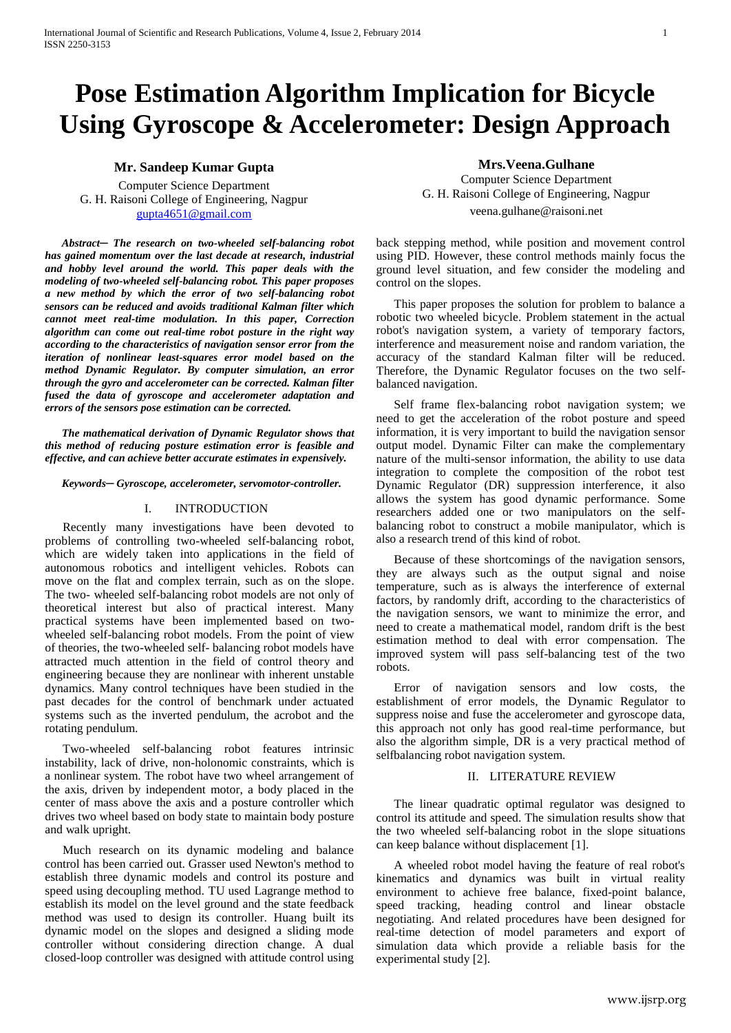# **Pose Estimation Algorithm Implication for Bicycle Using Gyroscope & Accelerometer: Design Approach**

# **Mr. Sandeep Kumar Gupta**

Computer Science Department G. H. Raisoni College of Engineering, Nagpur [gupta4651@gmail.com](mailto:gupta4651@gmail.com)

*Abstract─ The research on two-wheeled self-balancing robot has gained momentum over the last decade at research, industrial and hobby level around the world. This paper deals with the modeling of two-wheeled self-balancing robot. This paper proposes a new method by which the error of two self-balancing robot sensors can be reduced and avoids traditional Kalman filter which cannot meet real-time modulation. In this paper, Correction algorithm can come out real-time robot posture in the right way according to the characteristics of navigation sensor error from the iteration of nonlinear least-squares error model based on the method Dynamic Regulator. By computer simulation, an error through the gyro and accelerometer can be corrected. Kalman filter fused the data of gyroscope and accelerometer adaptation and errors of the sensors pose estimation can be corrected.* 

*The mathematical derivation of Dynamic Regulator shows that this method of reducing posture estimation error is feasible and effective, and can achieve better accurate estimates in expensively.*

*Keywords─ Gyroscope, accelerometer, servomotor-controller.*

#### I. INTRODUCTION

Recently many investigations have been devoted to problems of controlling two-wheeled self-balancing robot, which are widely taken into applications in the field of autonomous robotics and intelligent vehicles. Robots can move on the flat and complex terrain, such as on the slope. The two- wheeled self-balancing robot models are not only of theoretical interest but also of practical interest. Many practical systems have been implemented based on twowheeled self-balancing robot models. From the point of view of theories, the two-wheeled self- balancing robot models have attracted much attention in the field of control theory and engineering because they are nonlinear with inherent unstable dynamics. Many control techniques have been studied in the past decades for the control of benchmark under actuated systems such as the inverted pendulum, the acrobot and the rotating pendulum.

Two-wheeled self-balancing robot features intrinsic instability, lack of drive, non-holonomic constraints, which is a nonlinear system. The robot have two wheel arrangement of the axis, driven by independent motor, a body placed in the center of mass above the axis and a posture controller which drives two wheel based on body state to maintain body posture and walk upright.

Much research on its dynamic modeling and balance control has been carried out. Grasser used Newton's method to establish three dynamic models and control its posture and speed using decoupling method. TU used Lagrange method to establish its model on the level ground and the state feedback method was used to design its controller. Huang built its dynamic model on the slopes and designed a sliding mode controller without considering direction change. A dual closed-loop controller was designed with attitude control using

## **Mrs.Veena.Gulhane**

Computer Science Department G. H. Raisoni College of Engineering, Nagpur veena.gulhane@raisoni.net

back stepping method, while position and movement control using PID. However, these control methods mainly focus the ground level situation, and few consider the modeling and control on the slopes.

This paper proposes the solution for problem to balance a robotic two wheeled bicycle. Problem statement in the actual robot's navigation system, a variety of temporary factors, interference and measurement noise and random variation, the accuracy of the standard Kalman filter will be reduced. Therefore, the Dynamic Regulator focuses on the two selfbalanced navigation.

Self frame flex-balancing robot navigation system; we need to get the acceleration of the robot posture and speed information, it is very important to build the navigation sensor output model. Dynamic Filter can make the complementary nature of the multi-sensor information, the ability to use data integration to complete the composition of the robot test Dynamic Regulator (DR) suppression interference, it also allows the system has good dynamic performance. Some researchers added one or two manipulators on the selfbalancing robot to construct a mobile manipulator, which is also a research trend of this kind of robot.

Because of these shortcomings of the navigation sensors, they are always such as the output signal and noise temperature, such as is always the interference of external factors, by randomly drift, according to the characteristics of the navigation sensors, we want to minimize the error, and need to create a mathematical model, random drift is the best estimation method to deal with error compensation. The improved system will pass self-balancing test of the two robots.

Error of navigation sensors and low costs, the establishment of error models, the Dynamic Regulator to suppress noise and fuse the accelerometer and gyroscope data, this approach not only has good real-time performance, but also the algorithm simple, DR is a very practical method of selfbalancing robot navigation system.

#### II. LITERATURE REVIEW

The linear quadratic optimal regulator was designed to control its attitude and speed. The simulation results show that the two wheeled self-balancing robot in the slope situations can keep balance without displacement [1].

A wheeled robot model having the feature of real robot's kinematics and dynamics was built in virtual reality environment to achieve free balance, fixed-point balance, speed tracking, heading control and linear obstacle negotiating. And related procedures have been designed for real-time detection of model parameters and export of simulation data which provide a reliable basis for the experimental study [2].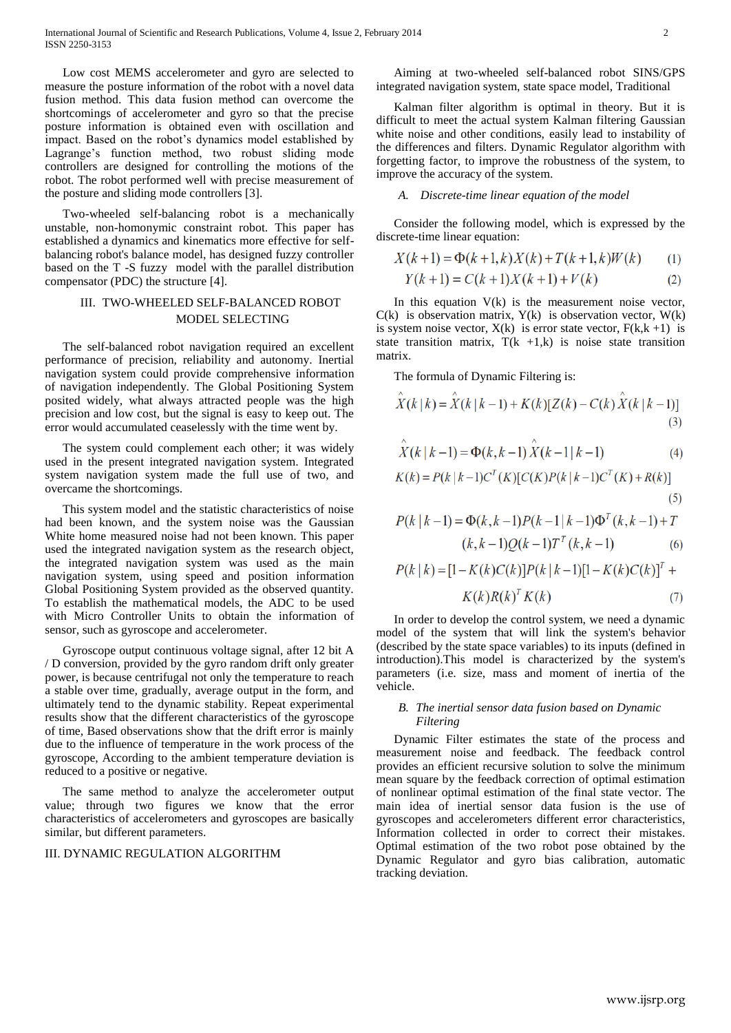Low cost MEMS accelerometer and gyro are selected to measure the posture information of the robot with a novel data fusion method. This data fusion method can overcome the shortcomings of accelerometer and gyro so that the precise posture information is obtained even with oscillation and impact. Based on the robot's dynamics model established by Lagrange's function method, two robust sliding mode controllers are designed for controlling the motions of the robot. The robot performed well with precise measurement of the posture and sliding mode controllers [3].

Two-wheeled self-balancing robot is a mechanically unstable, non-homonymic constraint robot. This paper has established a dynamics and kinematics more effective for selfbalancing robot's balance model, has designed fuzzy controller based on the T -S fuzzy model with the parallel distribution compensator (PDC) the structure [4].

# III. TWO-WHEELED SELF-BALANCED ROBOT MODEL SELECTING

The self-balanced robot navigation required an excellent performance of precision, reliability and autonomy. Inertial navigation system could provide comprehensive information of navigation independently. The Global Positioning System posited widely, what always attracted people was the high precision and low cost, but the signal is easy to keep out. The error would accumulated ceaselessly with the time went by.

The system could complement each other; it was widely used in the present integrated navigation system. Integrated system navigation system made the full use of two, and overcame the shortcomings.

This system model and the statistic characteristics of noise had been known, and the system noise was the Gaussian White home measured noise had not been known. This paper used the integrated navigation system as the research object, the integrated navigation system was used as the main navigation system, using speed and position information Global Positioning System provided as the observed quantity. To establish the mathematical models, the ADC to be used with Micro Controller Units to obtain the information of sensor, such as gyroscope and accelerometer.

Gyroscope output continuous voltage signal, after 12 bit A / D conversion, provided by the gyro random drift only greater power, is because centrifugal not only the temperature to reach a stable over time, gradually, average output in the form, and ultimately tend to the dynamic stability. Repeat experimental results show that the different characteristics of the gyroscope of time, Based observations show that the drift error is mainly due to the influence of temperature in the work process of the gyroscope, According to the ambient temperature deviation is reduced to a positive or negative.

The same method to analyze the accelerometer output value; through two figures we know that the error characteristics of accelerometers and gyroscopes are basically similar, but different parameters.

## III. DYNAMIC REGULATION ALGORITHM

Aiming at two-wheeled self-balanced robot SINS/GPS integrated navigation system, state space model, Traditional

Kalman filter algorithm is optimal in theory. But it is difficult to meet the actual system Kalman filtering Gaussian white noise and other conditions, easily lead to instability of the differences and filters. Dynamic Regulator algorithm with forgetting factor, to improve the robustness of the system, to improve the accuracy of the system.

## *A. Discrete-time linear equation of the model*

Consider the following model, which is expressed by the discrete-time linear equation:

$$
X(k+1) = \Phi(k+1,k)X(k) + T(k+1,k)W(k)
$$
 (1)

$$
Y(k+1) = C(k+1)X(k+1) + V(k)
$$
 (2)

In this equation  $V(k)$  is the measurement noise vector,  $C(k)$  is observation matrix,  $Y(k)$  is observation vector,  $W(k)$ is system noise vector,  $X(k)$  is error state vector,  $F(k, k + 1)$  is state transition matrix,  $T(k +1, k)$  is noise state transition matrix.

The formula of Dynamic Filtering is:

$$
\hat{X}(k|k) = \hat{X}(k|k-1) + K(k)[Z(k) - C(k)\hat{X}(k|k-1)]
$$
\n(3)

$$
\hat{X}(k|k-1) = \Phi(k, k-1) \hat{X}(k-1|k-1)
$$
\n(4)  
\n
$$
K(k) = P(k|k-1)C^{T}(K)[C(K)P(k|k-1)C^{T}(K) + R(k)]
$$
\n(5)

$$
P(k | k - 1) = \Phi(k, k - 1)P(k - 1 | k - 1)\Phi^{T}(k, k - 1) + T
$$

$$
(k, k - 1)Q(k - 1)T^{T}(k, k - 1)
$$
(6)

$$
P(k | k) = [1 - K(k)C(k)]P(k | k - 1)[1 - K(k)C(k)]T + K(k)R(k)T K(k)
$$
\n(7)

In order to develop the control system, we need a dynamic model of the system that will link the system's behavior (described by the state space variables) to its inputs (defined in introduction).This model is characterized by the system's parameters (i.e. size, mass and moment of inertia of the vehicle.

#### *B. The inertial sensor data fusion based on Dynamic Filtering*

Dynamic Filter estimates the state of the process and measurement noise and feedback. The feedback control provides an efficient recursive solution to solve the minimum mean square by the feedback correction of optimal estimation of nonlinear optimal estimation of the final state vector. The main idea of inertial sensor data fusion is the use of gyroscopes and accelerometers different error characteristics, Information collected in order to correct their mistakes. Optimal estimation of the two robot pose obtained by the Dynamic Regulator and gyro bias calibration, automatic tracking deviation.